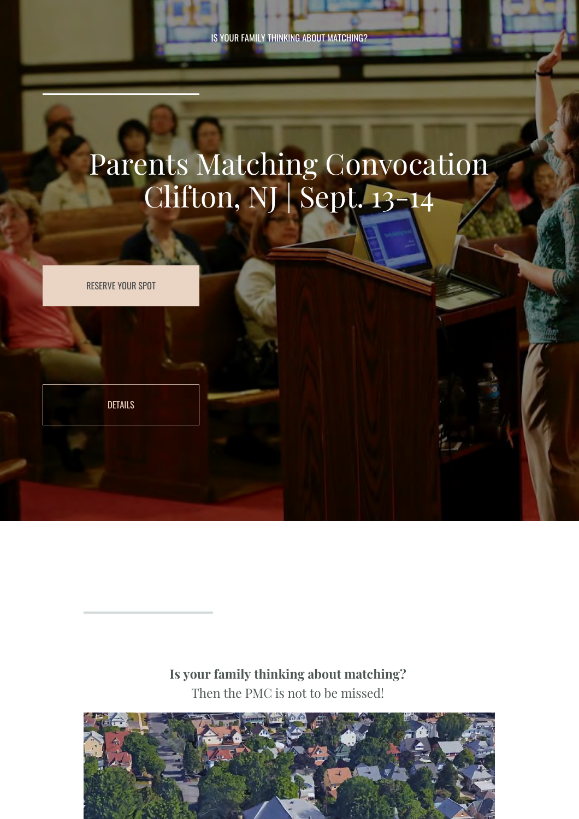IS YOUR FAMILY THINKING ABOUT MATCHING?

# Parents Matching Convocation Clifton, NJ | Sept. 13-14

RESERVE YOUR SPOT

[DETAILS](#page-2-0)

**Is your family thinking about matching?**  Then the PMC is not to be missed!

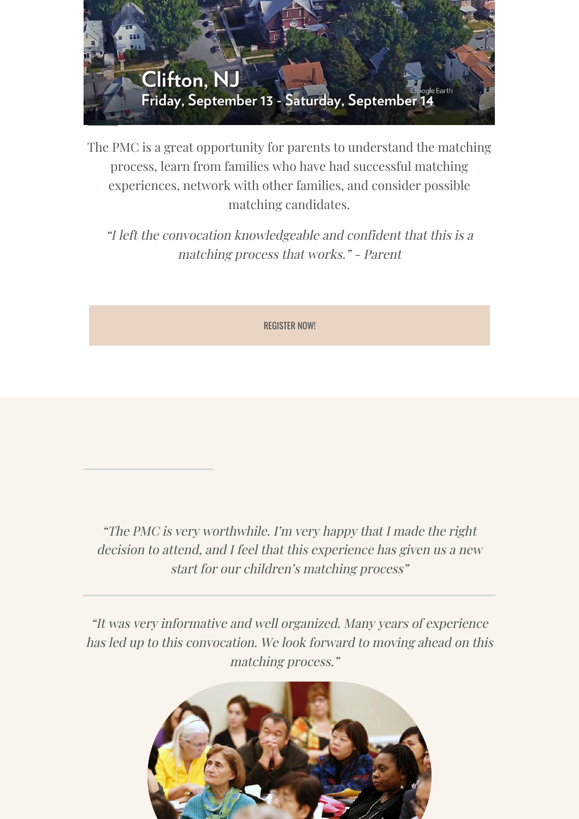

The PMC is a great opportunity for parents to understand the matching process, learn from families who have had successful matching experiences, network with other families, and consider possible matching candidates.

"I left the convocation knowledgeable and confident that this is a matching process that works." - Parent

REGISTER NOW!

"The PMC is very worthwhile. I'm very happy that I made the right decision to attend, and I feel that this experience has given us a new start for our children's matching process"

"It was very informative and well organized. Many years of experience has led up to this convocation. We look forward to moving ahead on this matching process."

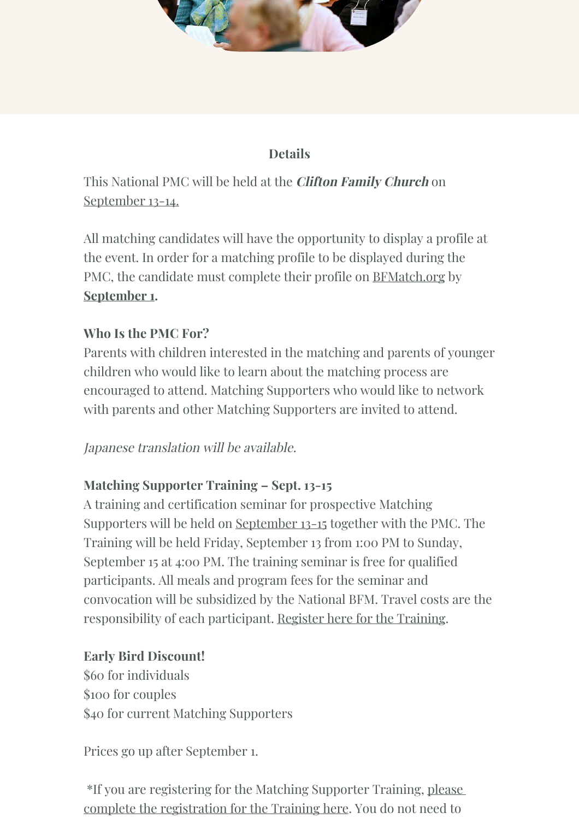

### **Details**

<span id="page-2-0"></span>This National PMC will be held at the **Clifton Family Church** on September 13-14.

All matching candidates will have the opportunity to display a profile at the event. In order for a matching profile to be displayed during the PMC, the candidate must complete their profile on BFMatch.org by **September 1.**

### **Who Is the PMC For?**

Parents with children interested in the matching and parents of younger children who would like to learn about the matching process are encouraged to attend. Matching Supporters who would like to network with parents and other Matching Supporters are invited to attend.

### Japanese translation will be available.

### **Matching Supporter Training – Sept. 13-15**

A training and certification seminar for prospective Matching Supporters will be held on September 13-15 together with the PMC. The Training will be held Friday, September 13 from 1:00 PM to Sunday, September 15 at 4:00 PM. The training seminar is free for qualified participants. All meals and program fees for the seminar and convocation will be subsidized by the National BFM. Travel costs are the responsibility of each participant. Register here for the Training.

### **Early Bird Discount!**

\$60 for individuals \$100 for couples \$40 for current Matching Supporters

Prices go up after September 1.

 \*If you are registering for the Matching Supporter Training, please complete the registration for the Training here. You do not need to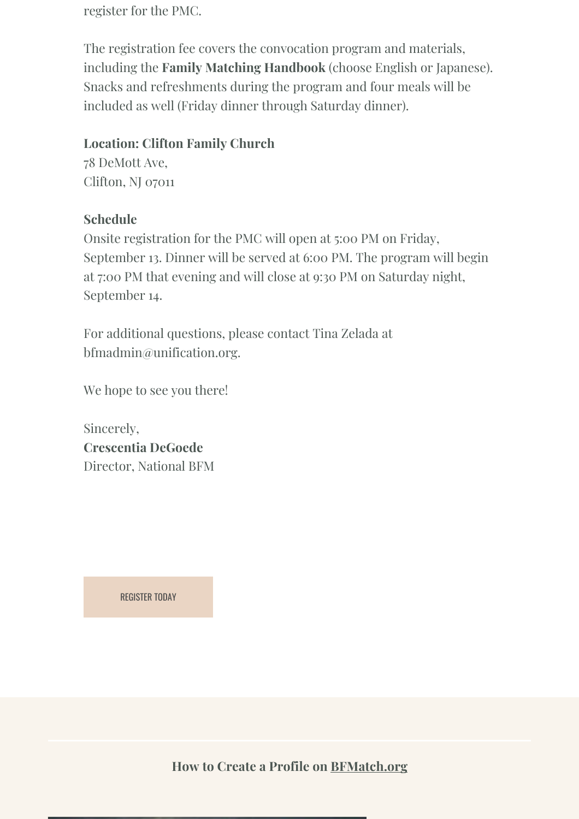register for the PMC.

The registration fee covers the convocation program and materials, including the **Family Matching Handbook** (choose English or Japanese). Snacks and refreshments during the program and four meals will be included as well (Friday dinner through Saturday dinner).

### **Location: Clifton Family Church**

78 DeMott Ave, Clifton, NJ 07011

### **Schedule**

Onsite registration for the PMC will open at 5:00 PM on Friday, September 13. Dinner will be served at 6:00 PM. The program will begin at 7:00 PM that evening and will close at 9:30 PM on Saturday night, September 14.

For additional questions, please contact Tina Zelada at bfmadmin@unification.org.

We hope to see you there!

Sincerely, **Crescentia DeGoede** Director, National BFM

REGISTER TODAY

**How to Create a Profile on BFMatch.org**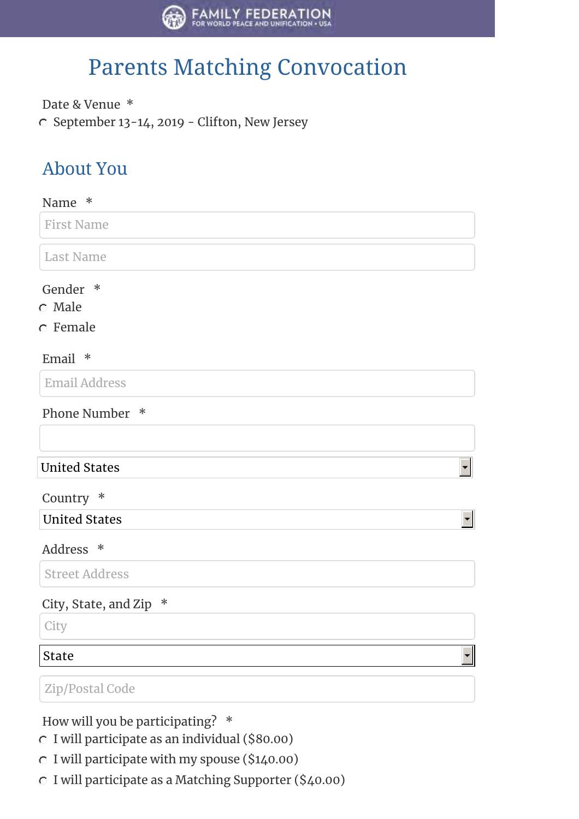

## Parents Matching Convocation

Date & Venue \* C September 13-14, 2019 - Clifton, New Jersey

## About You

| Name<br>∗                                |                      |
|------------------------------------------|----------------------|
| <b>First Name</b>                        |                      |
| <b>Last Name</b>                         |                      |
| Gender *                                 |                      |
| $\circ$ Male                             |                      |
| $\circ$ Female                           |                      |
| Email *                                  |                      |
| <b>Email Address</b>                     |                      |
| Phone Number *                           |                      |
|                                          |                      |
| <b>United States</b>                     | $\blacktriangledown$ |
| Country *                                |                      |
| <b>United States</b>                     | ▼                    |
| Address *                                |                      |
| <b>Street Address</b>                    |                      |
| $\ast$<br>City, State, and Zip           |                      |
| City                                     |                      |
| <b>State</b>                             |                      |
| Zip/Postal Code                          |                      |
| How will you be participating?<br>$\ast$ |                      |

- I will participate as an individual (\$80.00)
- $\degree$  I will participate with my spouse (\$140.00)
- I will participate as a Matching Supporter (\$40.00)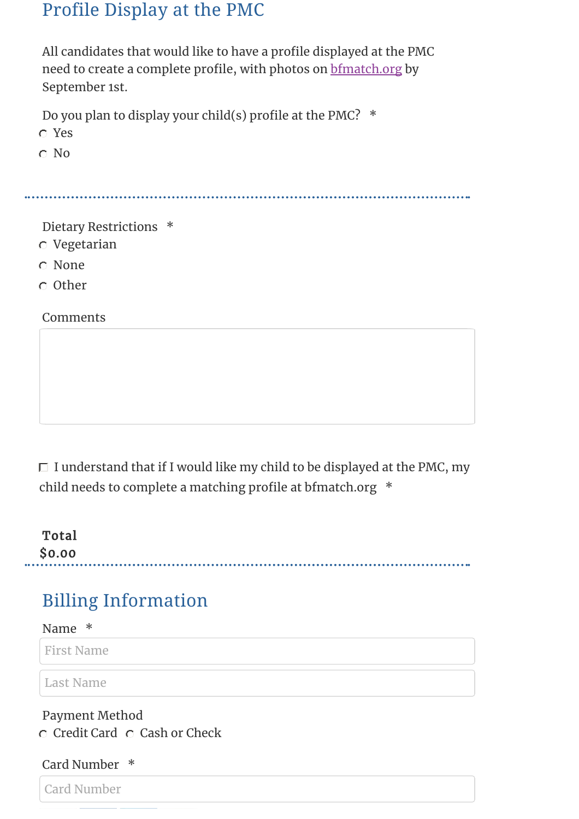### Profile Display at the PMC

All candidates that would like to have a profile displayed at the PMC need to create a complete profile, with photos on bfmatch.org by September 1st.

Do you plan to display your child(s) profile at the PMC?  $*$ 

Yes

C No

Dietary Restrictions \*

- Vegetarian
- None
- Other

Comments

 $\Box$  I understand that if I would like my child to be displayed at the PMC, my child needs to complete a matching profile at bfmatch.org  $*$ 

**Total** \$0.00

## Billing Information

Name \*

First Name

Last Name

## Payment Method

 $C$  Credit Card  $C$  Cash or Check

#### Card Number \*

Card Number